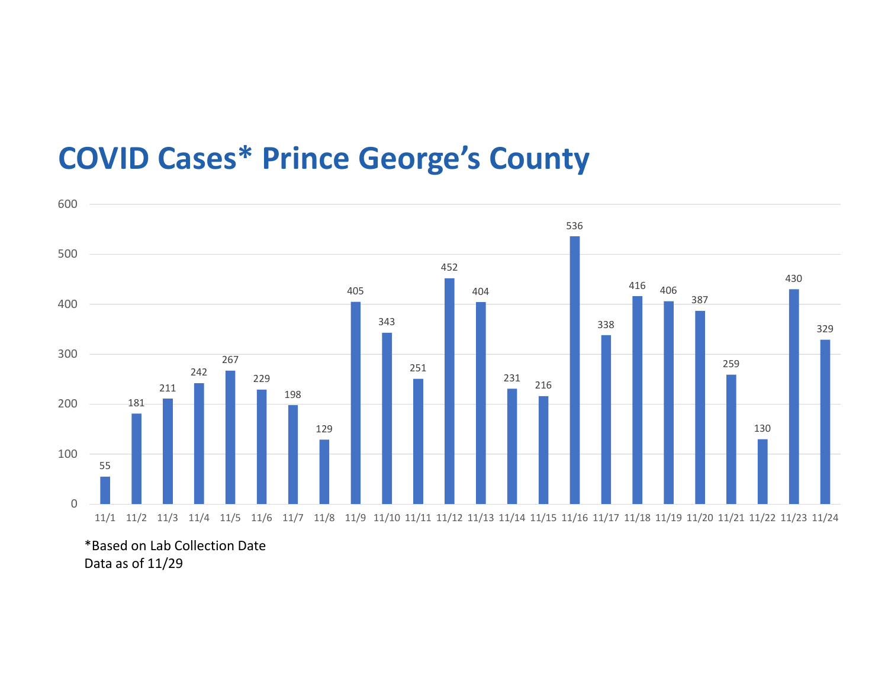## COVID Cases\* Prince George's County



\*Based on Lab Collection Date Data as of 11/29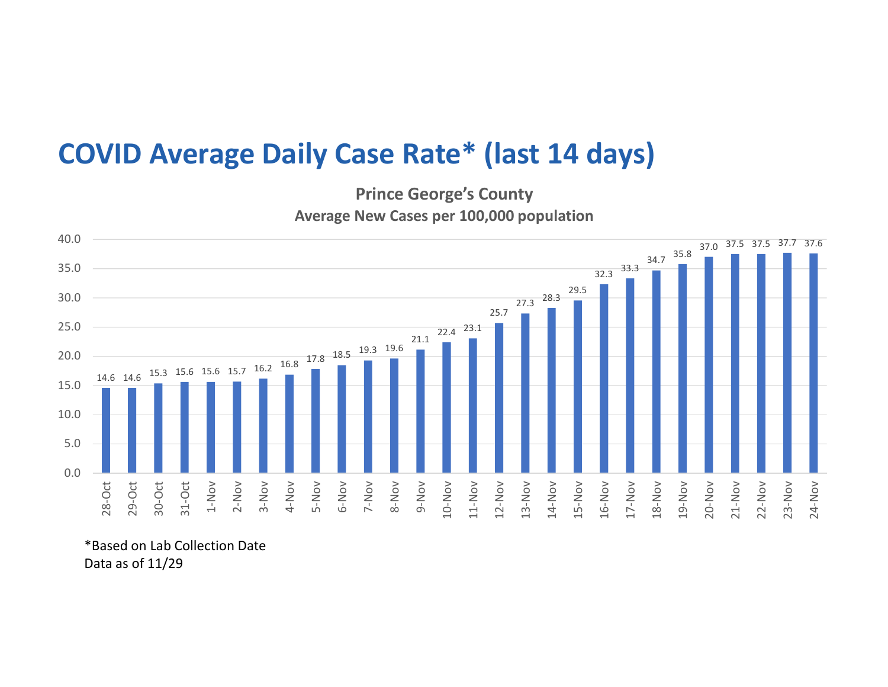## COVID Average Daily Case Rate\* (last 14 days)

Prince George's County Average New Cases per 100,000 population



\*Based on Lab Collection Date Data as of 11/29